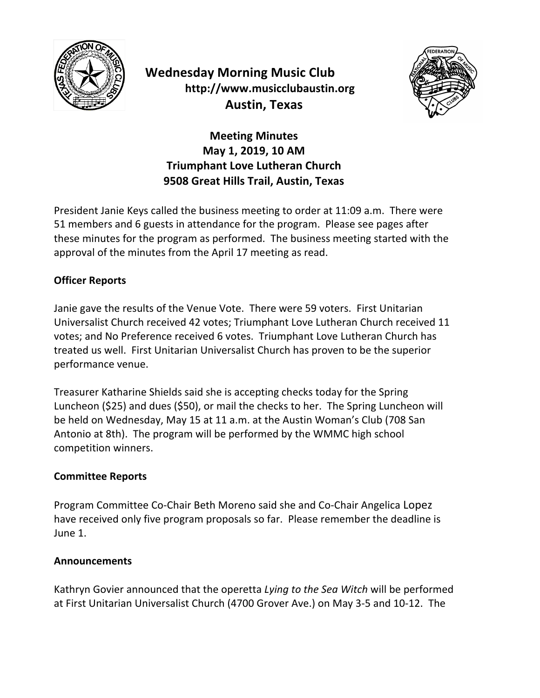

# **Wednesday Morning Music Club http://www.musicclubaustin.org Austin, Texas**



## **Meeting Minutes May 1, 2019, 10 AM Triumphant Love Lutheran Church 9508 Great Hills Trail, Austin, Texas**

President Janie Keys called the business meeting to order at 11:09 a.m. There were 51 members and 6 guests in attendance for the program. Please see pages after these minutes for the program as performed. The business meeting started with the approval of the minutes from the April 17 meeting as read.

### **Officer Reports**

Janie gave the results of the Venue Vote. There were 59 voters. First Unitarian Universalist Church received 42 votes; Triumphant Love Lutheran Church received 11 votes; and No Preference received 6 votes. Triumphant Love Lutheran Church has treated us well. First Unitarian Universalist Church has proven to be the superior performance venue.

Treasurer Katharine Shields said she is accepting checks today for the Spring Luncheon (\$25) and dues (\$50), or mail the checks to her. The Spring Luncheon will be held on Wednesday, May 15 at 11 a.m. at the Austin Woman's Club (708 San Antonio at 8th). The program will be performed by the WMMC high school competition winners.

#### **Committee Reports**

Program Committee Co-Chair Beth Moreno said she and Co-Chair Angelica Lopez have received only five program proposals so far. Please remember the deadline is June 1.

#### **Announcements**

Kathryn Govier announced that the operetta *Lying to the Sea Witch* will be performed at First Unitarian Universalist Church (4700 Grover Ave.) on May 3-5 and 10-12. The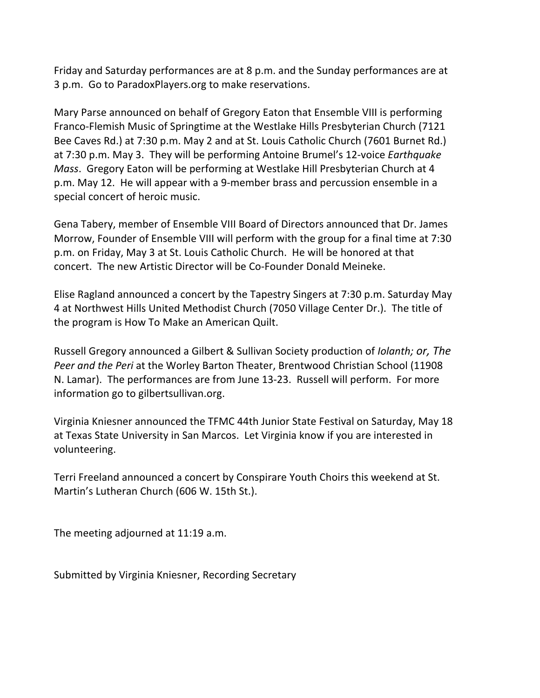Friday and Saturday performances are at 8 p.m. and the Sunday performances are at 3 p.m. Go to ParadoxPlayers.org to make reservations.

Mary Parse announced on behalf of Gregory Eaton that Ensemble VIII is performing Franco-Flemish Music of Springtime at the Westlake Hills Presbyterian Church (7121 Bee Caves Rd.) at 7:30 p.m. May 2 and at St. Louis Catholic Church (7601 Burnet Rd.) at 7:30 p.m. May 3. They will be performing Antoine Brumel's 12-voice *Earthquake Mass.* Gregory Eaton will be performing at Westlake Hill Presbyterian Church at 4 p.m. May 12. He will appear with a 9-member brass and percussion ensemble in a special concert of heroic music.

Gena Tabery, member of Ensemble VIII Board of Directors announced that Dr. James Morrow, Founder of Ensemble VIII will perform with the group for a final time at 7:30 p.m. on Friday, May 3 at St. Louis Catholic Church. He will be honored at that concert. The new Artistic Director will be Co-Founder Donald Meineke.

Elise Ragland announced a concert by the Tapestry Singers at  $7:30$  p.m. Saturday May 4 at Northwest Hills United Methodist Church (7050 Village Center Dr.). The title of the program is How To Make an American Quilt.

Russell Gregory announced a Gilbert & Sullivan Society production of *Iolanth; or, The Peer and the Peri* at the Worley Barton Theater, Brentwood Christian School (11908) N. Lamar). The performances are from June 13-23. Russell will perform. For more information go to gilbertsullivan.org.

Virginia Kniesner announced the TFMC 44th Junior State Festival on Saturday, May 18 at Texas State University in San Marcos. Let Virginia know if you are interested in volunteering.

Terri Freeland announced a concert by Conspirare Youth Choirs this weekend at St. Martin's Lutheran Church (606 W. 15th St.).

The meeting adjourned at 11:19 a.m.

Submitted by Virginia Kniesner, Recording Secretary